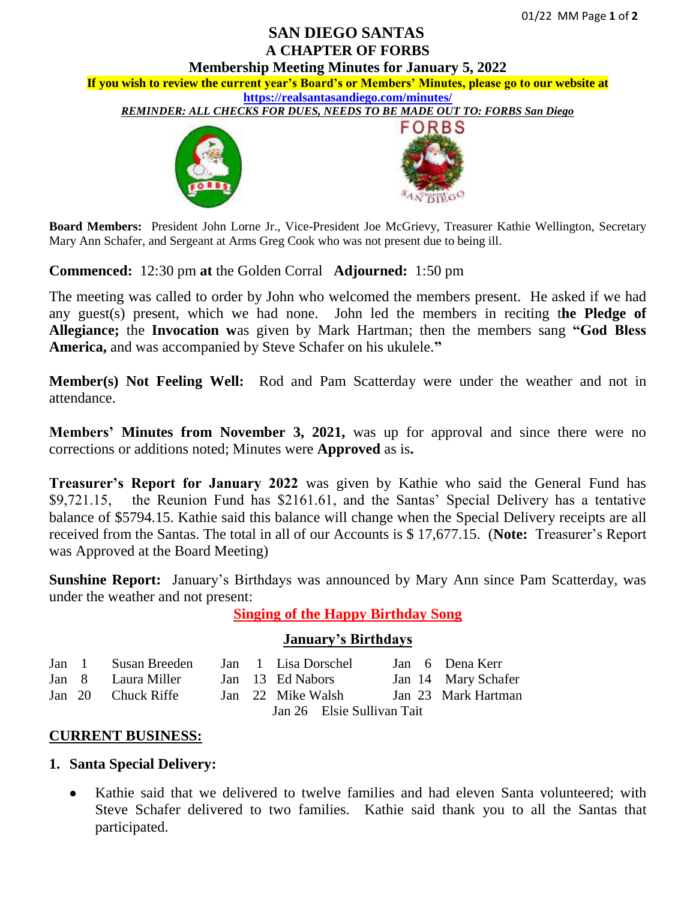# **SAN DIEGO SANTAS A CHAPTER OF FORBS**

**Membership Meeting Minutes for January 5, 2022** 

**If you wish to review the current year's Board's or Members' Minutes, please go to our website at <https://realsantasandiego.com/minutes/>**

*REMINDER: ALL CHECKS FOR DUES, NEEDS TO BE MADE OUT TO: FORBS San Diego*





**Board Members:** President John Lorne Jr., Vice-President Joe McGrievy, Treasurer Kathie Wellington, Secretary Mary Ann Schafer, and Sergeant at Arms Greg Cook who was not present due to being ill.

**Commenced:** 12:30 pm **at** the Golden Corral **Adjourned:** 1:50 pm

The meeting was called to order by John who welcomed the members present. He asked if we had any guest(s) present, which we had none. John led the members in reciting t**he Pledge of Allegiance;** the **Invocation w**as given by Mark Hartman; then the members sang **"God Bless America,** and was accompanied by Steve Schafer on his ukulele.**"**

**Member(s) Not Feeling Well:** Rod and Pam Scatterday were under the weather and not in attendance.

**Members' Minutes from November 3, 2021,** was up for approval and since there were no corrections or additions noted; Minutes were **Approved** as is**.**

**Treasurer's Report for January 2022** was given by Kathie who said the General Fund has \$9,721.15, the Reunion Fund has \$2161.61, and the Santas' Special Delivery has a tentative balance of \$5794.15. Kathie said this balance will change when the Special Delivery receipts are all received from the Santas. The total in all of our Accounts is \$ 17,677.15. (**Note:** Treasurer's Report was Approved at the Board Meeting)

**Sunshine Report:** January's Birthdays was announced by Mary Ann since Pam Scatterday, was under the weather and not present:

**Singing of the Happy Birthday Song**

## **January's Birthdays**

| Jan 1 | Susan Breeden Jan 1 Lisa Dorschel |                            |  |                   |  |  | Jan 6 Dena Kerr     |
|-------|-----------------------------------|----------------------------|--|-------------------|--|--|---------------------|
|       | Jan 8 Laura Miller                |                            |  | Jan 13 Ed Nabors  |  |  | Jan 14 Mary Schafer |
|       | Jan 20 Chuck Riffe                |                            |  | Jan 22 Mike Walsh |  |  | Jan 23 Mark Hartman |
|       |                                   | Jan 26 Elsie Sullivan Tait |  |                   |  |  |                     |

## **CURRENT BUSINESS:**

- **1. Santa Special Delivery:**
	- Kathie said that we delivered to twelve families and had eleven Santa volunteered; with Steve Schafer delivered to two families. Kathie said thank you to all the Santas that participated.